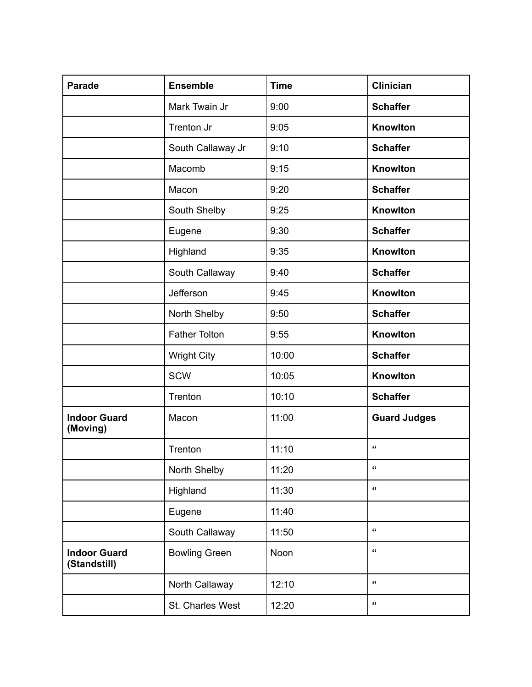| <b>Parade</b>                       | <b>Ensemble</b>      | <b>Time</b> | <b>Clinician</b>     |
|-------------------------------------|----------------------|-------------|----------------------|
|                                     | Mark Twain Jr        | 9:00        | <b>Schaffer</b>      |
|                                     | Trenton Jr           | 9:05        | Knowlton             |
|                                     | South Callaway Jr    | 9:10        | <b>Schaffer</b>      |
|                                     | Macomb               | 9:15        | Knowlton             |
|                                     | Macon                | 9:20        | <b>Schaffer</b>      |
|                                     | South Shelby         | 9:25        | Knowlton             |
|                                     | Eugene               | 9:30        | <b>Schaffer</b>      |
|                                     | Highland             | 9:35        | Knowlton             |
|                                     | South Callaway       | 9:40        | <b>Schaffer</b>      |
|                                     | Jefferson            | 9:45        | Knowlton             |
|                                     | North Shelby         | 9:50        | <b>Schaffer</b>      |
|                                     | <b>Father Tolton</b> | 9:55        | Knowlton             |
|                                     | <b>Wright City</b>   | 10:00       | <b>Schaffer</b>      |
|                                     | <b>SCW</b>           | 10:05       | Knowlton             |
|                                     | Trenton              | 10:10       | <b>Schaffer</b>      |
| <b>Indoor Guard</b><br>(Moving)     | Macon                | 11:00       | <b>Guard Judges</b>  |
|                                     | Trenton              | 11:10       | $\alpha$             |
|                                     | North Shelby         | 11:20       | $\pmb{\epsilon}$     |
|                                     | Highland             | 11:30       | $\pmb{\mathfrak{c}}$ |
|                                     | Eugene               | 11:40       |                      |
|                                     | South Callaway       | 11:50       | $\pmb{\mathfrak{c}}$ |
| <b>Indoor Guard</b><br>(Standstill) | <b>Bowling Green</b> | Noon        | $\pmb{\epsilon}$     |
|                                     | North Callaway       | 12:10       | $\pmb{\mathfrak{c}}$ |
|                                     | St. Charles West     | 12:20       | $\pmb{\mathfrak{c}}$ |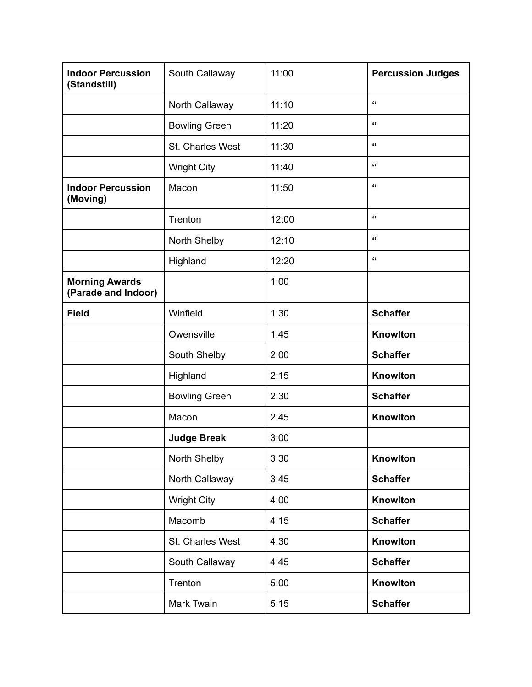| <b>Indoor Percussion</b><br>(Standstill)     | South Callaway       | 11:00 | <b>Percussion Judges</b> |
|----------------------------------------------|----------------------|-------|--------------------------|
|                                              | North Callaway       | 11:10 | $\pmb{\mathfrak{c}}$     |
|                                              | <b>Bowling Green</b> | 11:20 | $\pmb{\mathfrak{c}}$     |
|                                              | St. Charles West     | 11:30 | $\pmb{\epsilon}$         |
|                                              | <b>Wright City</b>   | 11:40 | $\pmb{\epsilon}$         |
| <b>Indoor Percussion</b><br>(Moving)         | Macon                | 11:50 | $\pmb{\mathfrak{c}}$     |
|                                              | Trenton              | 12:00 | $\pmb{\epsilon}$         |
|                                              | North Shelby         | 12:10 | $\pmb{\epsilon}$         |
|                                              | Highland             | 12:20 | $\pmb{\epsilon}$         |
| <b>Morning Awards</b><br>(Parade and Indoor) |                      | 1:00  |                          |
| <b>Field</b>                                 | Winfield             | 1:30  | <b>Schaffer</b>          |
|                                              | Owensville           | 1:45  | Knowlton                 |
|                                              | South Shelby         | 2:00  | <b>Schaffer</b>          |
|                                              | Highland             | 2:15  | Knowlton                 |
|                                              | <b>Bowling Green</b> | 2:30  | <b>Schaffer</b>          |
|                                              | Macon                | 2:45  | Knowlton                 |
|                                              | <b>Judge Break</b>   | 3:00  |                          |
|                                              | North Shelby         | 3:30  | Knowlton                 |
|                                              | North Callaway       | 3:45  | <b>Schaffer</b>          |
|                                              | Wright City          | 4:00  | Knowlton                 |
|                                              | Macomb               | 4:15  | <b>Schaffer</b>          |
|                                              | St. Charles West     | 4:30  | Knowlton                 |
|                                              | South Callaway       | 4:45  | <b>Schaffer</b>          |
|                                              | Trenton              | 5:00  | Knowlton                 |
|                                              | Mark Twain           | 5:15  | <b>Schaffer</b>          |